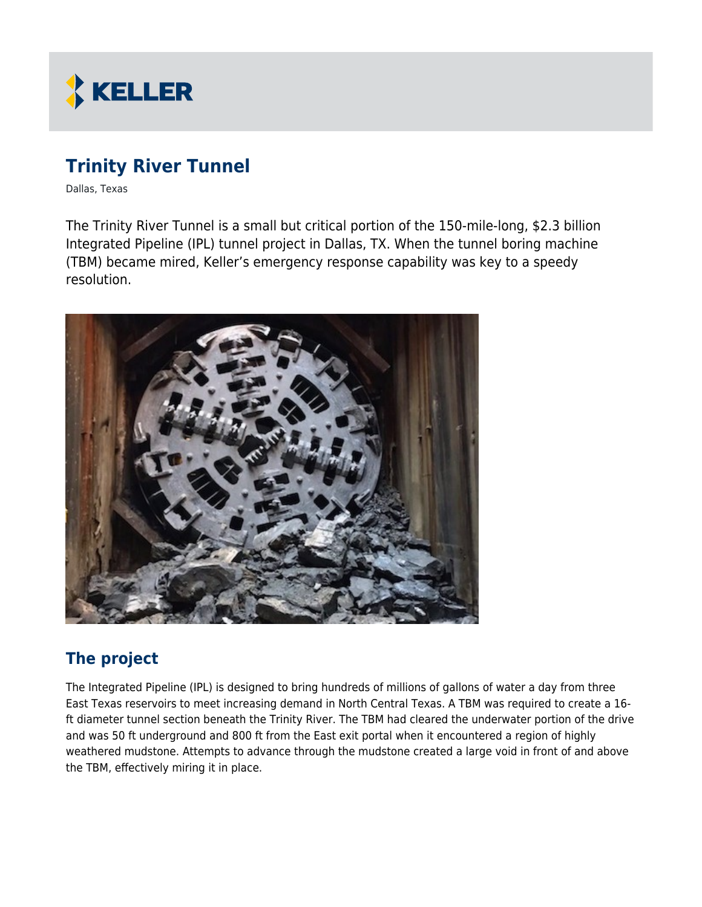

# **Trinity River Tunnel**

Dallas, Texas

The Trinity River Tunnel is a small but critical portion of the 150-mile-long, \$2.3 billion Integrated Pipeline (IPL) tunnel project in Dallas, TX. When the tunnel boring machine (TBM) became mired, Keller's emergency response capability was key to a speedy resolution.



## **The project**

The Integrated Pipeline (IPL) is designed to bring hundreds of millions of gallons of water a day from three East Texas reservoirs to meet increasing demand in North Central Texas. A TBM was required to create a 16 ft diameter tunnel section beneath the Trinity River. The TBM had cleared the underwater portion of the drive and was 50 ft underground and 800 ft from the East exit portal when it encountered a region of highly weathered mudstone. Attempts to advance through the mudstone created a large void in front of and above the TBM, effectively miring it in place.